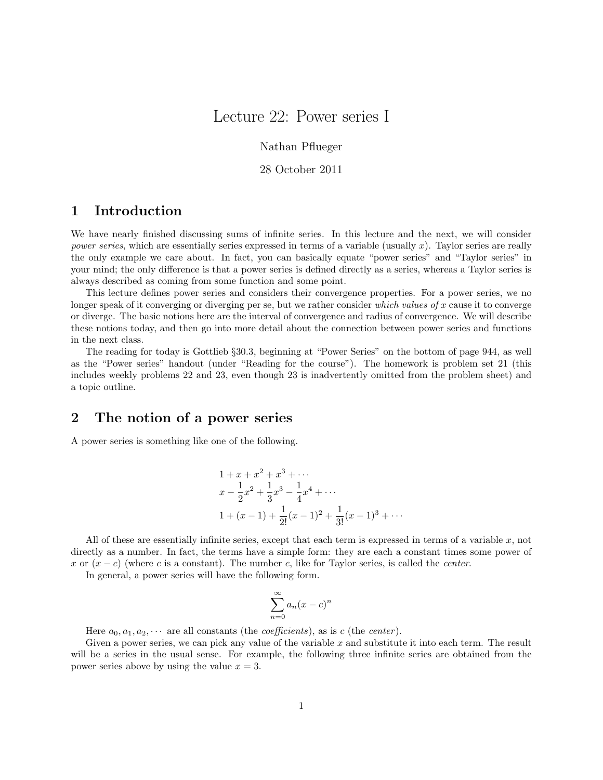# Lecture 22: Power series I

Nathan Pflueger

28 October 2011

# 1 Introduction

We have nearly finished discussing sums of infinite series. In this lecture and the next, we will consider power series, which are essentially series expressed in terms of a variable (usually  $x$ ). Taylor series are really the only example we care about. In fact, you can basically equate "power series" and "Taylor series" in your mind; the only difference is that a power series is defined directly as a series, whereas a Taylor series is always described as coming from some function and some point.

This lecture defines power series and considers their convergence properties. For a power series, we no longer speak of it converging or diverging per se, but we rather consider which values of x cause it to converge or diverge. The basic notions here are the interval of convergence and radius of convergence. We will describe these notions today, and then go into more detail about the connection between power series and functions in the next class.

The reading for today is Gottlieb §30.3, beginning at "Power Series" on the bottom of page 944, as well as the "Power series" handout (under "Reading for the course"). The homework is problem set 21 (this includes weekly problems 22 and 23, even though 23 is inadvertently omitted from the problem sheet) and a topic outline.

#### 2 The notion of a power series

A power series is something like one of the following.

$$
1 + x + x2 + x3 + \cdots
$$
  
\n
$$
x - \frac{1}{2}x2 + \frac{1}{3}x3 - \frac{1}{4}x4 + \cdots
$$
  
\n
$$
1 + (x - 1) + \frac{1}{2!}(x - 1)2 + \frac{1}{3!}(x - 1)3 + \cdots
$$

All of these are essentially infinite series, except that each term is expressed in terms of a variable x, not directly as a number. In fact, the terms have a simple form: they are each a constant times some power of x or  $(x - c)$  (where c is a constant). The number c, like for Taylor series, is called the center.

In general, a power series will have the following form.

$$
\sum_{n=0}^{\infty} a_n (x - c)^n
$$

Here  $a_0, a_1, a_2, \cdots$  are all constants (the *coefficients*), as is c (the *center*).

Given a power series, we can pick any value of the variable  $x$  and substitute it into each term. The result will be a series in the usual sense. For example, the following three infinite series are obtained from the power series above by using the value  $x = 3$ .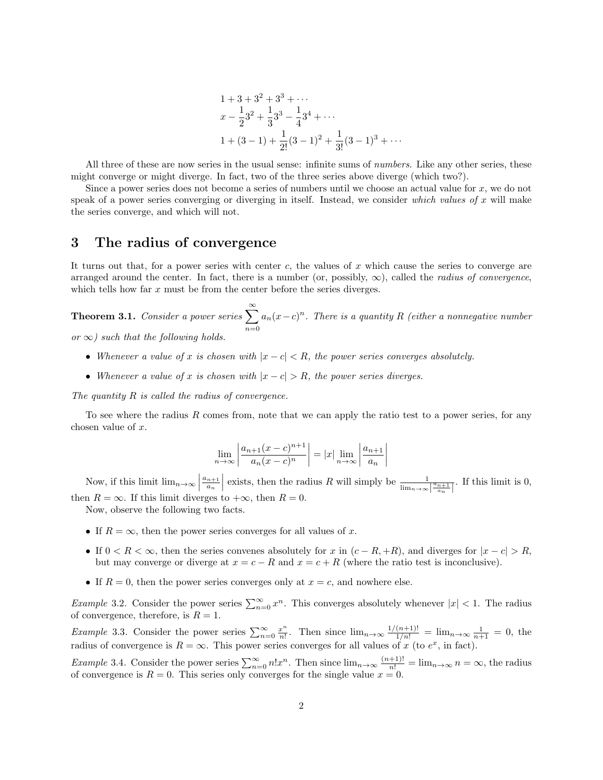$$
1+3+32+33 + \cdots
$$
  
\n
$$
x - \frac{1}{2}32 + \frac{1}{3}33 - \frac{1}{4}34 + \cdots
$$
  
\n
$$
1 + (3-1) + \frac{1}{2!}(3-1)2 + \frac{1}{3!}(3-1)3 + \cdots
$$

All three of these are now series in the usual sense: infinite sums of numbers. Like any other series, these might converge or might diverge. In fact, two of the three series above diverge (which two?).

Since a power series does not become a series of numbers until we choose an actual value for  $x$ , we do not speak of a power series converging or diverging in itself. Instead, we consider which values of x will make the series converge, and which will not.

#### 3 The radius of convergence

It turns out that, for a power series with center c, the values of x which cause the series to converge are arranged around the center. In fact, there is a number (or, possibly,  $\infty$ ), called the *radius of convergence*. which tells how far  $x$  must be from the center before the series diverges.

**Theorem 3.1.** Consider a power series  $\sum_{n=1}^{\infty}$  $n=0$  $a_n(x-c)^n$ . There is a quantity R (either a nonnegative number or  $\infty$ ) such that the following holds.

- Whenever a value of x is chosen with  $|x-c| < R$ , the power series converges absolutely.
- Whenever a value of x is chosen with  $|x-c| > R$ , the power series diverges.

The quantity  $R$  is called the radius of convergence.

To see where the radius R comes from, note that we can apply the ratio test to a power series, for any chosen value of x.

$$
\lim_{n \to \infty} \left| \frac{a_{n+1}(x-c)^{n+1}}{a_n(x-c)^n} \right| = |x| \lim_{n \to \infty} \left| \frac{a_{n+1}}{a_n} \right|
$$

Now, if this limit  $\lim_{n\to\infty}$  $a_{n+1}$  $\frac{n+1}{a_n}$  exists, then the radius R will simply be  $\frac{1}{\lim_{n\to\infty} \left|\frac{a_{n+1}}{a_n}\right|}$ . If this limit is 0, then  $R = \infty$ . If this limit diverges to  $+\infty$ , then  $R = 0$ .

Now, observe the following two facts.

- If  $R = \infty$ , then the power series converges for all values of x.
- If  $0 < R < \infty$ , then the series convenes absolutely for x in  $(c R, +R)$ , and diverges for  $|x c| > R$ , but may converge or diverge at  $x = c - R$  and  $x = c + R$  (where the ratio test is inconclusive).
- If  $R = 0$ , then the power series converges only at  $x = c$ , and nowhere else.

*Example* 3.2. Consider the power series  $\sum_{n=0}^{\infty} x^n$ . This converges absolutely whenever  $|x| < 1$ . The radius of convergence, therefore, is  $R = 1$ .

*Example* 3.3. Consider the power series  $\sum_{n=0}^{\infty} \frac{x^n}{n!}$  $rac{x^n}{n!}$ . Then since  $\lim_{n\to\infty} \frac{1/(n+1)!}{1/n!} = \lim_{n\to\infty} \frac{1}{n+1} = 0$ , the radius of convergence is  $R = \infty$ . This power series converges for all values of x (to  $e^x$ , in fact).

*Example* 3.4. Consider the power series  $\sum_{n=0}^{\infty} n! x^n$ . Then since  $\lim_{n\to\infty} \frac{(n+1)!}{n!} = \lim_{n\to\infty} n = \infty$ , the radius of convergence is  $R = 0$ . This series only converges for the single value  $x = 0$ .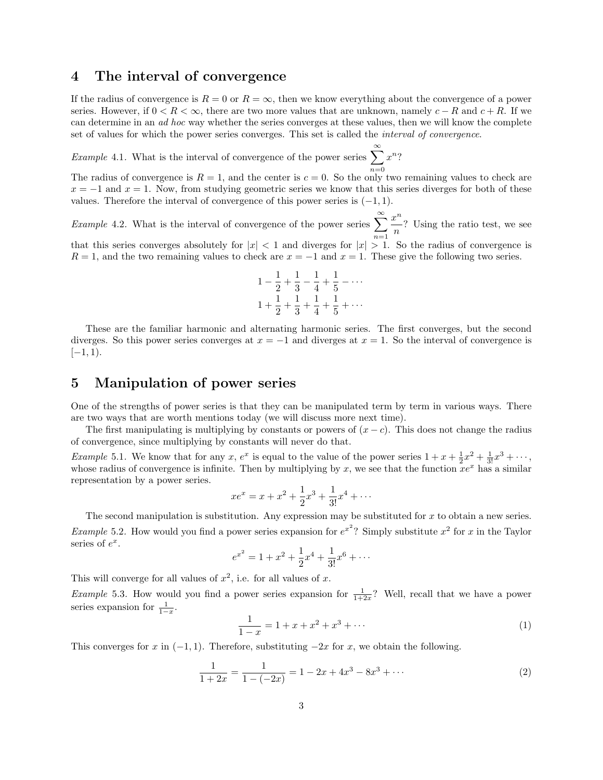## 4 The interval of convergence

If the radius of convergence is  $R = 0$  or  $R = \infty$ , then we know everything about the convergence of a power series. However, if  $0 < R < \infty$ , there are two more values that are unknown, namely  $c - R$  and  $c + R$ . If we can determine in an ad hoc way whether the series converges at these values, then we will know the complete set of values for which the power series converges. This set is called the *interval of convergence*.

Example 4.1. What is the interval of convergence of the power series  $\sum_{n=1}^{\infty} x^n$ ?

The radius of convergence is  $R = 1$ , and the center is  $c = 0$ . So the only two remaining values to check are  $x = -1$  and  $x = 1$ . Now, from studying geometric series we know that this series diverges for both of these values. Therefore the interval of convergence of this power series is  $(-1, 1)$ .

Example 4.2. What is the interval of convergence of the power series  $\sum_{n=1}^{\infty}$  $n=1$  $x^n$  $\frac{n}{n}$ ? Using the ratio test, we see

that this series converges absolutely for  $|x| < 1$  and diverges for  $|x| > 1$ . So the radius of convergence is  $R = 1$ , and the two remaining values to check are  $x = -1$  and  $x = 1$ . These give the following two series.

$$
1 - \frac{1}{2} + \frac{1}{3} - \frac{1}{4} + \frac{1}{5} - \dots
$$
  

$$
1 + \frac{1}{2} + \frac{1}{3} + \frac{1}{4} + \frac{1}{5} + \dots
$$

These are the familiar harmonic and alternating harmonic series. The first converges, but the second diverges. So this power series converges at  $x = -1$  and diverges at  $x = 1$ . So the interval of convergence is  $[-1, 1).$ 

### 5 Manipulation of power series

One of the strengths of power series is that they can be manipulated term by term in various ways. There are two ways that are worth mentions today (we will discuss more next time).

The first manipulating is multiplying by constants or powers of  $(x - c)$ . This does not change the radius of convergence, since multiplying by constants will never do that.

*Example* 5.1. We know that for any x,  $e^x$  is equal to the value of the power series  $1 + x + \frac{1}{2}x^2 + \frac{1}{3!}x^3 + \cdots$ , whose radius of convergence is infinite. Then by multiplying by x, we see that the function  $xe^x$  has a similar representation by a power series.

$$
xe^{x} = x + x^{2} + \frac{1}{2}x^{3} + \frac{1}{3!}x^{4} + \cdots
$$

The second manipulation is substitution. Any expression may be substituted for  $x$  to obtain a new series. *Example* 5.2. How would you find a power series expansion for  $e^{x^2}$ ? Simply substitute  $x^2$  for x in the Taylor series of  $e^x$ .

$$
e^{x^2} = 1 + x^2 + \frac{1}{2}x^4 + \frac{1}{3!}x^6 + \dots
$$

This will converge for all values of  $x^2$ , i.e. for all values of x.

*Example* 5.3. How would you find a power series expansion for  $\frac{1}{1+2x}$ ? Well, recall that we have a power series expansion for  $\frac{1}{1-x}$ .

$$
\frac{1}{1-x} = 1 + x + x^2 + x^3 + \dotsb \tag{1}
$$

This converges for x in  $(-1, 1)$ . Therefore, substituting  $-2x$  for x, we obtain the following.

$$
\frac{1}{1+2x} = \frac{1}{1-(-2x)} = 1 - 2x + 4x^3 - 8x^3 + \dots
$$
 (2)